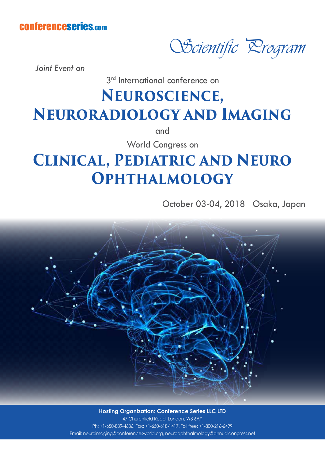## conferenceseries.com

Scientific Program

*Joint Event on*

3<sup>rd</sup> International conference on

## **Neuroscience, Neuroradiology and Imaging**

and

World Congress on

## **Clinical, Pediatric and Neuro Ophthalmology**

October 03-04, 2018 Osaka, Japan



**Hosting Organization: Conference Series LLC LTD** 47 Churchfield Road, London, W3 6AY Ph: +1-650-889-4686, Fax: +1-650-618-1417, Toll free: +1-800-216-6499 Email: neuroimaging@conferencesworld.org, neuroophthalmology@annualcongress.net